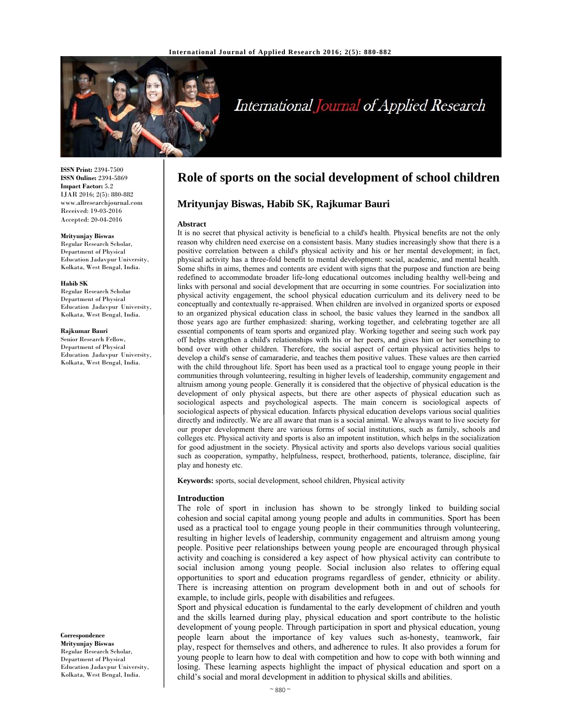

# International Journal of Applied Research

**ISSN Print:** 2394-7500 **ISSN Online:** 2394-5869 **Impact Factor:** 5.2 IJAR 2016; 2(5): 880-882 www.allresearchjournal.com Received: 19-03-2016 Accepted: 20-04-2016

#### **Mrityunjay Biswas**

Regular Research Scholar, Department of Physical Education Jadavpur University, Kolkata, West Bengal, India.

#### **Habib SK**

Regular Research Scholar Department of Physical Education Jadavpur University, Kolkata, West Bengal, India.

#### **Rajkumar Bauri**

Senior Research Fellow, Department of Physical Education Jadavpur University, Kolkata, West Bengal, India.

**Correspondence**

**Mrityunjay Biswas**  Regular Research Scholar, Department of Physical Education Jadavpur University, Kolkata, West Bengal, India.

## **Role of sports on the social development of school children**

## **Mrityunjay Biswas, Habib SK, Rajkumar Bauri**

#### **Abstract**

It is no secret that physical activity is beneficial to a child's health. Physical benefits are not the only reason why children need exercise on a consistent basis. Many studies increasingly show that there is a positive correlation between a child's physical activity and his or her mental development; in fact, physical activity has a three-fold benefit to mental development: social, academic, and mental health. Some shifts in aims, themes and contents are evident with signs that the purpose and function are being redefined to accommodate broader life-long educational outcomes including healthy well-being and links with personal and social development that are occurring in some countries. For socialization into physical activity engagement, the school physical education curriculum and its delivery need to be conceptually and contextually re-appraised. When children are involved in organized sports or exposed to an organized physical education class in school, the basic values they learned in the sandbox all those years ago are further emphasized: sharing, working together, and celebrating together are all essential components of team sports and organized play. Working together and seeing such work pay off helps strengthen a child's relationships with his or her peers, and gives him or her something to bond over with other children. Therefore, the social aspect of certain physical activities helps to develop a child's sense of camaraderie, and teaches them positive values. These values are then carried with the child throughout life. Sport has been used as a practical tool to engage young people in their communities through volunteering, resulting in higher levels of leadership, community engagement and altruism among young people. Generally it is considered that the objective of physical education is the development of only physical aspects, but there are other aspects of physical education such as sociological aspects and psychological aspects. The main concern is sociological aspects of sociological aspects of physical education. Infarcts physical education develops various social qualities directly and indirectly. We are all aware that man is a social animal. We always want to live society for our proper development there are various forms of social institutions, such as family, schools and colleges etc. Physical activity and sports is also an impotent institution, which helps in the socialization for good adjustment in the society. Physical activity and sports also develops various social qualities such as cooperation, sympathy, helpfulness, respect, brotherhood, patients, tolerance, discipline, fair play and honesty etc.

**Keywords:** sports, social development, school children, Physical activity

#### **Introduction**

The role of sport in inclusion has shown to be strongly linked to building social cohesion and social capital among young people and adults in communities. Sport has been used as a practical tool to engage young people in their communities through volunteering, resulting in higher levels of leadership, community engagement and altruism among young people. Positive peer relationships between young people are encouraged through physical activity and coaching is considered a key aspect of how physical activity can contribute to social inclusion among young people. Social inclusion also relates to offering equal opportunities to sport and education programs regardless of gender, ethnicity or ability. There is increasing attention on program development both in and out of schools for example, to include girls, people with disabilities and refugees.

Sport and physical education is fundamental to the early development of children and youth and the skills learned during play, physical education and sport contribute to the holistic development of young people. Through participation in sport and physical education, young people learn about the importance of key values such as-honesty, teamwork, fair play, respect for themselves and others, and adherence to rules. It also provides a forum for young people to learn how to deal with competition and how to cope with both winning and losing. These learning aspects highlight the impact of physical education and sport on a child's social and moral development in addition to physical skills and abilities.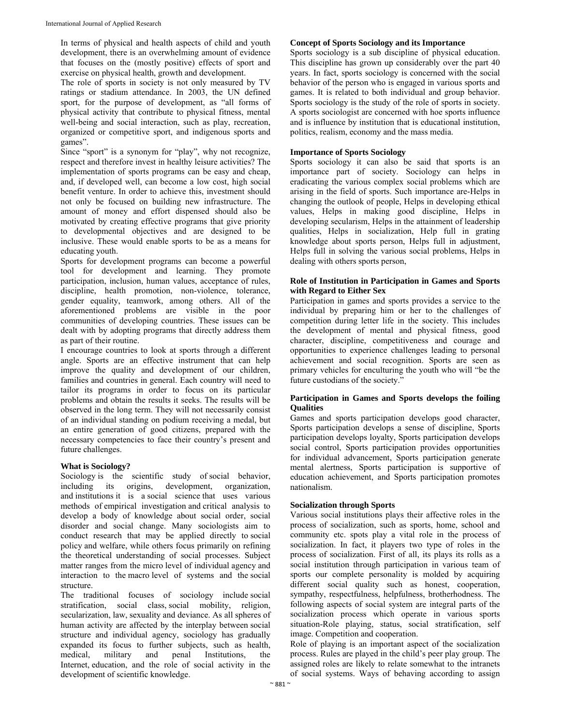In terms of physical and health aspects of child and youth development, there is an overwhelming amount of evidence that focuses on the (mostly positive) effects of sport and exercise on physical health, growth and development.

The role of sports in society is not only measured by TV ratings or stadium attendance. In 2003, the UN defined sport, for the purpose of development, as "all forms of physical activity that contribute to physical fitness, mental well-being and social interaction, such as play, recreation, organized or competitive sport, and indigenous sports and games".

Since "sport" is a synonym for "play", why not recognize, respect and therefore invest in healthy leisure activities? The implementation of sports programs can be easy and cheap, and, if developed well, can become a low cost, high social benefit venture. In order to achieve this, investment should not only be focused on building new infrastructure. The amount of money and effort dispensed should also be motivated by creating effective programs that give priority to developmental objectives and are designed to be inclusive. These would enable sports to be as a means for educating youth.

Sports for development programs can become a powerful tool for development and learning. They promote participation, inclusion, human values, acceptance of rules, discipline, health promotion, non-violence, tolerance, gender equality, teamwork, among others. All of the aforementioned problems are visible in the poor communities of developing countries. These issues can be dealt with by adopting programs that directly address them as part of their routine.

I encourage countries to look at sports through a different angle. Sports are an effective instrument that can help improve the quality and development of our children, families and countries in general. Each country will need to tailor its programs in order to focus on its particular problems and obtain the results it seeks. The results will be observed in the long term. They will not necessarily consist of an individual standing on podium receiving a medal, but an entire generation of good citizens, prepared with the necessary competencies to face their country's present and future challenges.

## **What is Sociology?**

Sociology is the scientific study of social behavior, including its origins, development, organization, and institutions it is a social science that uses various methods of empirical investigation and critical analysis to develop a body of knowledge about social order, social disorder and social change. Many sociologists aim to conduct research that may be applied directly to social policy and welfare, while others focus primarily on refining the theoretical understanding of social processes. Subject matter ranges from the micro level of individual agency and interaction to the macro level of systems and the social structure.

The traditional focuses of sociology include social stratification, social class, social mobility, religion, secularization, law, sexuality and deviance. As all spheres of human activity are affected by the interplay between social structure and individual agency, sociology has gradually expanded its focus to further subjects, such as health, medical, military and penal Institutions, the Internet, education, and the role of social activity in the development of scientific knowledge.

## **Concept of Sports Sociology and its Importance**

Sports sociology is a sub discipline of physical education. This discipline has grown up considerably over the part 40 years. In fact, sports sociology is concerned with the social behavior of the person who is engaged in various sports and games. It is related to both individual and group behavior. Sports sociology is the study of the role of sports in society. A sports sociologist are concerned with hoe sports influence and is influence by institution that is educational institution, politics, realism, economy and the mass media.

## **Importance of Sports Sociology**

Sports sociology it can also be said that sports is an importance part of society. Sociology can helps in eradicating the various complex social problems which are arising in the field of sports. Such importance are-Helps in changing the outlook of people, Helps in developing ethical values, Helps in making good discipline, Helps in developing secularism, Helps in the attainment of leadership qualities, Helps in socialization, Help full in grating knowledge about sports person, Helps full in adjustment, Helps full in solving the various social problems, Helps in dealing with others sports person,

#### **Role of Institution in Participation in Games and Sports with Regard to Either Sex**

Participation in games and sports provides a service to the individual by preparing him or her to the challenges of competition during letter life in the society. This includes the development of mental and physical fitness, good character, discipline, competitiveness and courage and opportunities to experience challenges leading to personal achievement and social recognition. Sports are seen as primary vehicles for enculturing the youth who will "be the future custodians of the society."

## **Participation in Games and Sports develops the foiling Qualities**

Games and sports participation develops good character, Sports participation develops a sense of discipline, Sports participation develops loyalty, Sports participation develops social control, Sports participation provides opportunities for individual advancement, Sports participation generate mental alertness, Sports participation is supportive of education achievement, and Sports participation promotes nationalism.

#### **Socialization through Sports**

Various social institutions plays their affective roles in the process of socialization, such as sports, home, school and community etc. spots play a vital role in the process of socialization. In fact, it players two type of roles in the process of socialization. First of all, its plays its rolls as a social institution through participation in various team of sports our complete personality is molded by acquiring different social quality such as honest, cooperation, sympathy, respectfulness, helpfulness, brotherhodness. The following aspects of social system are integral parts of the socialization process which operate in various sports situation-Role playing, status, social stratification, self image. Competition and cooperation.

Role of playing is an important aspect of the socialization process. Rules are played in the child's peer play group. The assigned roles are likely to relate somewhat to the intranets of social systems. Ways of behaving according to assign